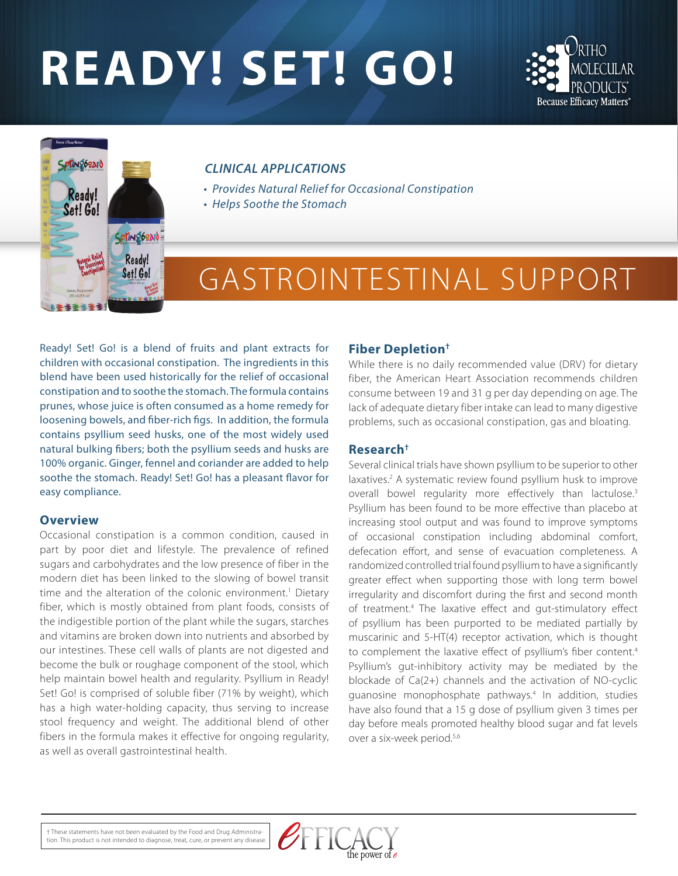# **READY! SET! GO!**





#### *CLINICAL APPLICATIONS*

- *Provides Natural Relief for Occasional Constipation*
- *Helps Soothe the Stomach*

## GASTROINTESTINAL SUPPORT

Ready! Set! Go! is a blend of fruits and plant extracts for children with occasional constipation. The ingredients in this blend have been used historically for the relief of occasional constipation and to soothe the stomach. The formula contains prunes, whose juice is often consumed as a home remedy for loosening bowels, and fiber-rich figs. In addition, the formula contains psyllium seed husks, one of the most widely used natural bulking fibers; both the psyllium seeds and husks are 100% organic. Ginger, fennel and coriander are added to help soothe the stomach. Ready! Set! Go! has a pleasant flavor for easy compliance.

#### **Overview**

Occasional constipation is a common condition, caused in part by poor diet and lifestyle. The prevalence of refined sugars and carbohydrates and the low presence of fiber in the modern diet has been linked to the slowing of bowel transit time and the alteration of the colonic environment.<sup>1</sup> Dietary fiber, which is mostly obtained from plant foods, consists of the indigestible portion of the plant while the sugars, starches and vitamins are broken down into nutrients and absorbed by our intestines. These cell walls of plants are not digested and become the bulk or roughage component of the stool, which help maintain bowel health and regularity. Psyllium in Ready! Set! Go! is comprised of soluble fiber (71% by weight), which has a high water-holding capacity, thus serving to increase stool frequency and weight. The additional blend of other fibers in the formula makes it effective for ongoing regularity, as well as overall gastrointestinal health.

#### **Fiber Depletion†**

While there is no daily recommended value (DRV) for dietary fiber, the American Heart Association recommends children consume between 19 and 31 g per day depending on age. The lack of adequate dietary fiber intake can lead to many digestive problems, such as occasional constipation, gas and bloating.

#### **Research†**

Several clinical trials have shown psyllium to be superior to other laxatives.<sup>2</sup> A systematic review found psyllium husk to improve overall bowel regularity more effectively than lactulose.<sup>3</sup> Psyllium has been found to be more effective than placebo at increasing stool output and was found to improve symptoms of occasional constipation including abdominal comfort, defecation effort, and sense of evacuation completeness. A randomized controlled trial found psyllium to have a significantly greater effect when supporting those with long term bowel irregularity and discomfort during the first and second month of treatment.4 The laxative effect and gut-stimulatory effect of psyllium has been purported to be mediated partially by muscarinic and 5-HT(4) receptor activation, which is thought to complement the laxative effect of psyllium's fiber content.<sup>4</sup> Psyllium's gut-inhibitory activity may be mediated by the blockade of Ca(2+) channels and the activation of NO-cyclic guanosine monophosphate pathways.4 In addition, studies have also found that a 15 g dose of psyllium given 3 times per day before meals promoted healthy blood sugar and fat levels over a six-week period.5,6